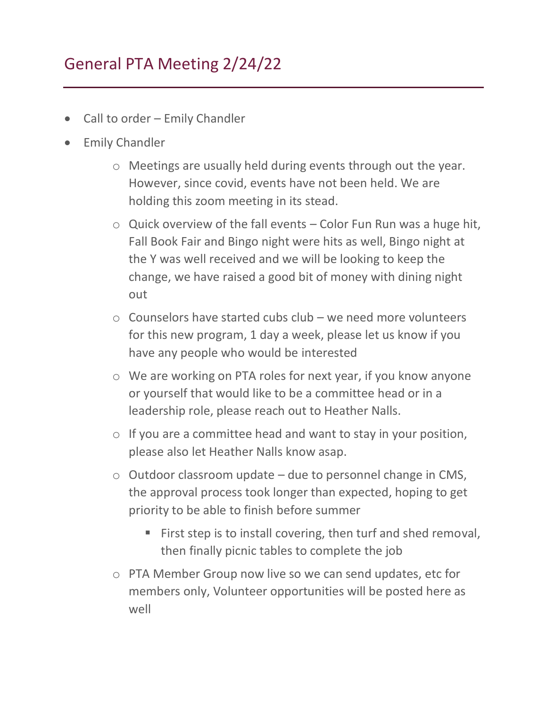## General PTA Meeting 2/24/22

- Call to order Emily Chandler
- Emily Chandler
	- o Meetings are usually held during events through out the year. However, since covid, events have not been held. We are holding this zoom meeting in its stead.
	- $\circ$  Quick overview of the fall events Color Fun Run was a huge hit, Fall Book Fair and Bingo night were hits as well, Bingo night at the Y was well received and we will be looking to keep the change, we have raised a good bit of money with dining night out
	- $\circ$  Counselors have started cubs club we need more volunteers for this new program, 1 day a week, please let us know if you have any people who would be interested
	- o We are working on PTA roles for next year, if you know anyone or yourself that would like to be a committee head or in a leadership role, please reach out to Heather Nalls.
	- $\circ$  If you are a committee head and want to stay in your position, please also let Heather Nalls know asap.
	- $\circ$  Outdoor classroom update due to personnel change in CMS, the approval process took longer than expected, hoping to get priority to be able to finish before summer
		- First step is to install covering, then turf and shed removal, then finally picnic tables to complete the job
	- o PTA Member Group now live so we can send updates, etc for members only, Volunteer opportunities will be posted here as well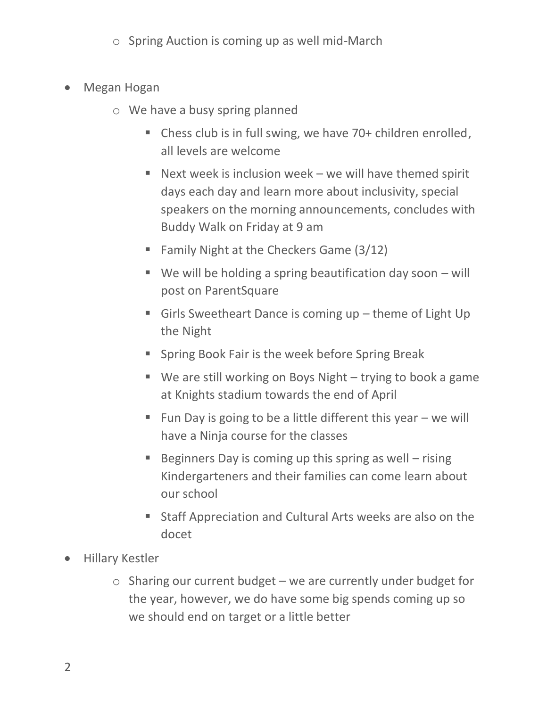- o Spring Auction is coming up as well mid-March
- Megan Hogan
	- o We have a busy spring planned
		- Chess club is in full swing, we have 70+ children enrolled, all levels are welcome
		- $\blacksquare$  Next week is inclusion week we will have themed spirit days each day and learn more about inclusivity, special speakers on the morning announcements, concludes with Buddy Walk on Friday at 9 am
		- **Example 1** Family Night at the Checkers Game  $(3/12)$
		- $\blacksquare$  We will be holding a spring beautification day soon will post on ParentSquare
		- Girls Sweetheart Dance is coming up theme of Light Up the Night
		- Spring Book Fair is the week before Spring Break
		- $\blacksquare$  We are still working on Boys Night trying to book a game at Knights stadium towards the end of April
		- $\blacksquare$  Fun Day is going to be a little different this year  $-$  we will have a Ninja course for the classes
		- **Example 1** Beginners Day is coming up this spring as well rising Kindergarteners and their families can come learn about our school
		- Staff Appreciation and Cultural Arts weeks are also on the docet
- Hillary Kestler
	- $\circ$  Sharing our current budget we are currently under budget for the year, however, we do have some big spends coming up so we should end on target or a little better